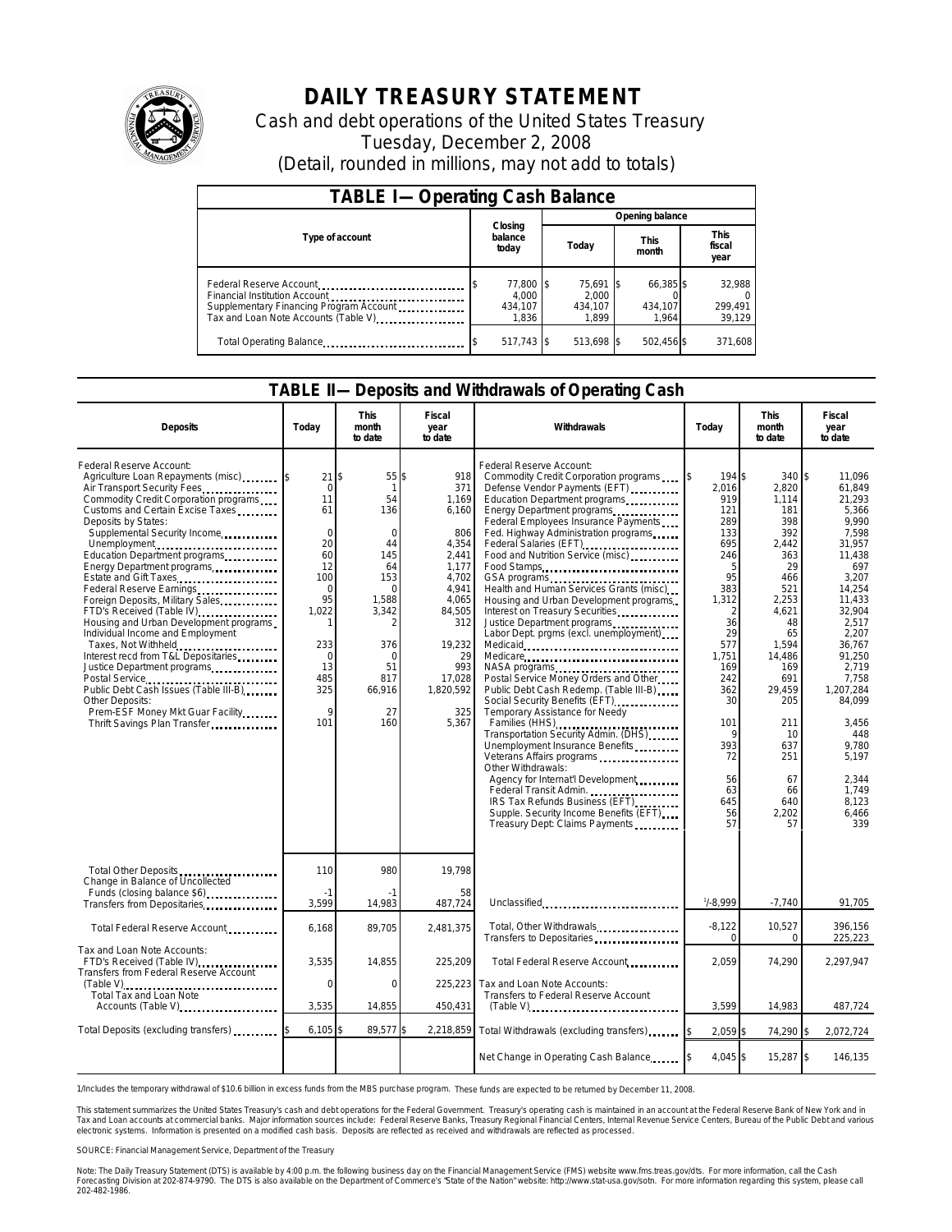

# **DAILY TREASURY STATEMENT**

Cash and debt operations of the United States Treasury Tuesday, December 2, 2008 (Detail, rounded in millions, may not add to totals)

| <b>TABLE I-Operating Cash Balance</b>                                                                                                       |                                        |                                        |                               |                               |  |  |  |
|---------------------------------------------------------------------------------------------------------------------------------------------|----------------------------------------|----------------------------------------|-------------------------------|-------------------------------|--|--|--|
|                                                                                                                                             |                                        | Opening balance                        |                               |                               |  |  |  |
| Type of account                                                                                                                             | Closing<br>balance<br>today            | Today                                  | <b>This</b><br>month          | <b>This</b><br>fiscal<br>year |  |  |  |
| Federal Reserve Account<br>Financial Institution Account<br>Supplementary Financing Program Account<br>Tax and Loan Note Accounts (Table V) | 77,800 \$<br>4.000<br>434.107<br>1.836 | 75.691 \$<br>2.000<br>434.107<br>1.899 | 66,385 \$<br>434.107<br>1.964 | 32,988<br>299.491<br>39,129   |  |  |  |
| Total Operating Balance                                                                                                                     | 517,743 \$                             | 513,698 \$                             | 502,456 \$                    | 371.608                       |  |  |  |

#### **TABLE II—Deposits and Withdrawals of Operating Cash**

| <b>Deposits</b>                                                                                                                                                                                                                                                                                                                                                                                                                                                                                                                                                                                                                                                                                                                                                      | Todav                                                                                                                                                             | <b>This</b><br>month<br>to date                                                                                                                          | Fiscal<br>year<br>to date                                                                                                                                                | Withdrawals                                                                                                                                                                                                                                                                                                                                                                                                                                                                                                                                                                                                                                                                                                                                                                                                                                                                                                                                                                                                                                                       | Today                                                                                                                                                                                                    | <b>This</b><br>month<br>to date                                                                                                                                                                                              | <b>Fiscal</b><br>year<br>to date                                                                                                                                                                                                                                                    |
|----------------------------------------------------------------------------------------------------------------------------------------------------------------------------------------------------------------------------------------------------------------------------------------------------------------------------------------------------------------------------------------------------------------------------------------------------------------------------------------------------------------------------------------------------------------------------------------------------------------------------------------------------------------------------------------------------------------------------------------------------------------------|-------------------------------------------------------------------------------------------------------------------------------------------------------------------|----------------------------------------------------------------------------------------------------------------------------------------------------------|--------------------------------------------------------------------------------------------------------------------------------------------------------------------------|-------------------------------------------------------------------------------------------------------------------------------------------------------------------------------------------------------------------------------------------------------------------------------------------------------------------------------------------------------------------------------------------------------------------------------------------------------------------------------------------------------------------------------------------------------------------------------------------------------------------------------------------------------------------------------------------------------------------------------------------------------------------------------------------------------------------------------------------------------------------------------------------------------------------------------------------------------------------------------------------------------------------------------------------------------------------|----------------------------------------------------------------------------------------------------------------------------------------------------------------------------------------------------------|------------------------------------------------------------------------------------------------------------------------------------------------------------------------------------------------------------------------------|-------------------------------------------------------------------------------------------------------------------------------------------------------------------------------------------------------------------------------------------------------------------------------------|
| Federal Reserve Account:<br>Agriculture Loan Repayments (misc)<br>Air Transport Security Fees<br>Commodity Credit Corporation programs<br>Customs and Certain Excise Taxes<br>Deposits by States:<br>Supplemental Security Income<br>Unemployment<br>Education Department programs<br>Energy Department programs<br>Estate and Gift Taxes<br>Federal Reserve Earnings<br>Foreign Deposits, Military Sales<br>FTD's Received (Table IV)<br>Housing and Urban Development programs<br>Individual Income and Employment<br>Taxes, Not Withheld<br>Interest recd from T&L Depositaries<br>Justice Department programs<br>Postal Service<br>Public Debt Cash Issues (Table III-B)<br>Other Deposits:<br>Prem-ESF Money Mkt Guar Facility.<br>Thrift Savings Plan Transfer | 21<br>$\mathbf 0$<br>11<br>61<br>$\Omega$<br>20<br>60<br>12<br>100<br>$\Omega$<br>95<br>1,022<br>-1<br>233<br>$\Omega$<br>13<br>485<br>325<br>$\mathsf{Q}$<br>101 | 55 \$<br>\$<br>1<br>54<br>136<br>$\Omega$<br>44<br>145<br>64<br>153<br>$\Omega$<br>1,588<br>3,342<br>376<br>$\Omega$<br>51<br>817<br>66,916<br>27<br>160 | 918<br>371<br>1,169<br>6,160<br>806<br>4,354<br>2,441<br>1,177<br>4,702<br>4,941<br>4.065<br>84,505<br>312<br>19,232<br>29<br>993<br>17,028<br>1,820,592<br>325<br>5.367 | Federal Reserve Account:<br>Commodity Credit Corporation programs<br>Defense Vendor Payments (EFT)<br>Education Department programs<br>Energy Department programs<br>Federal Employees Insurance Payments<br>Fed. Highway Administration programs<br>Federal Salaries (EFT)<br>Food and Nutrition Service (misc)<br>Food Stamps<br>GSA programs<br>Health and Human Services Grants (misc)<br>Housing and Urban Development programs<br>Interest on Treasury Securities<br>Justice Department programs<br>Labor Dept. prgms (excl. unemployment)<br>Medicare<br>NASA programs<br>Postal Service Money Orders and Other<br>Public Debt Cash Redemp. (Table III-B)<br>Social Security Benefits (EFT)<br>Temporary Assistance for Needy<br>Families (HHS)<br>Transportation Security Admin. (DHS)<br>Unemployment Insurance Benefits<br>Veterans Affairs programs<br>Other Withdrawals:<br>Agency for Internat'l Development<br>Federal Transit Admin.<br>IRS Tax Refunds Business (EFT)<br>Supple. Security Income Benefits (EFT)<br>Treasury Dept: Claims Payments | 194 \$<br>2,016<br>919<br>121<br>289<br>133<br>695<br>246<br>5<br>95<br>383<br>1,312<br>2<br>36<br>29<br>577<br>1.751<br>169<br>242<br>362<br>30<br>101<br>9<br>393<br>72<br>56<br>63<br>645<br>56<br>57 | 340S<br>2,820<br>1,114<br>181<br>398<br>392<br>2,442<br>363<br>29<br>466<br>521<br>2,253<br>4,621<br>48<br>65<br>1,594<br>14,486<br>169<br>691<br>29,459<br>205<br>211<br>10<br>637<br>251<br>67<br>66<br>640<br>2,202<br>57 | 11.096<br>61,849<br>21.293<br>5,366<br>9.990<br>7.598<br>31,957<br>11,438<br>697<br>3,207<br>14.254<br>11.433<br>32.904<br>2,517<br>2.207<br>36.767<br>91.250<br>2,719<br>7.758<br>1,207,284<br>84,099<br>3,456<br>448<br>9,780<br>5.197<br>2,344<br>1,749<br>8,123<br>6,466<br>339 |
| Total Other Deposits<br>Change in Balance of Uncollected<br>Funds (closing balance \$6)                                                                                                                                                                                                                                                                                                                                                                                                                                                                                                                                                                                                                                                                              | 110<br>$-1$                                                                                                                                                       | 980                                                                                                                                                      | 19,798<br>58                                                                                                                                                             |                                                                                                                                                                                                                                                                                                                                                                                                                                                                                                                                                                                                                                                                                                                                                                                                                                                                                                                                                                                                                                                                   |                                                                                                                                                                                                          |                                                                                                                                                                                                                              |                                                                                                                                                                                                                                                                                     |
| Transfers from Depositaries                                                                                                                                                                                                                                                                                                                                                                                                                                                                                                                                                                                                                                                                                                                                          | 3,599                                                                                                                                                             | 14,983                                                                                                                                                   | 487,724                                                                                                                                                                  | Unclassified                                                                                                                                                                                                                                                                                                                                                                                                                                                                                                                                                                                                                                                                                                                                                                                                                                                                                                                                                                                                                                                      | $1/ - 8,999$                                                                                                                                                                                             | $-7,740$                                                                                                                                                                                                                     | 91,705                                                                                                                                                                                                                                                                              |
| Total Federal Reserve Account                                                                                                                                                                                                                                                                                                                                                                                                                                                                                                                                                                                                                                                                                                                                        | 6,168                                                                                                                                                             | 89,705                                                                                                                                                   | 2,481,375                                                                                                                                                                | Total, Other Withdrawals                                                                                                                                                                                                                                                                                                                                                                                                                                                                                                                                                                                                                                                                                                                                                                                                                                                                                                                                                                                                                                          | $-8,122$<br>$\Omega$                                                                                                                                                                                     | 10,527<br>$\Omega$                                                                                                                                                                                                           | 396,156<br>225,223                                                                                                                                                                                                                                                                  |
| Tax and Loan Note Accounts:<br>FTD's Received (Table IV)<br>Transfers from Federal Reserve Account                                                                                                                                                                                                                                                                                                                                                                                                                                                                                                                                                                                                                                                                   | 3,535                                                                                                                                                             | 14,855                                                                                                                                                   | 225,209                                                                                                                                                                  | Total Federal Reserve Account                                                                                                                                                                                                                                                                                                                                                                                                                                                                                                                                                                                                                                                                                                                                                                                                                                                                                                                                                                                                                                     | 2.059                                                                                                                                                                                                    | 74,290                                                                                                                                                                                                                       | 2,297,947                                                                                                                                                                                                                                                                           |
| (Table V)<br>Total Tax and Loan Note                                                                                                                                                                                                                                                                                                                                                                                                                                                                                                                                                                                                                                                                                                                                 | $\mathbf 0$                                                                                                                                                       | 0                                                                                                                                                        | 225,223                                                                                                                                                                  | Tax and Loan Note Accounts:<br>Transfers to Federal Reserve Account                                                                                                                                                                                                                                                                                                                                                                                                                                                                                                                                                                                                                                                                                                                                                                                                                                                                                                                                                                                               |                                                                                                                                                                                                          |                                                                                                                                                                                                                              |                                                                                                                                                                                                                                                                                     |
| Accounts (Table V)                                                                                                                                                                                                                                                                                                                                                                                                                                                                                                                                                                                                                                                                                                                                                   | 3,535                                                                                                                                                             | 14,855                                                                                                                                                   | 450,431                                                                                                                                                                  | (Table V)                                                                                                                                                                                                                                                                                                                                                                                                                                                                                                                                                                                                                                                                                                                                                                                                                                                                                                                                                                                                                                                         | 3,599                                                                                                                                                                                                    | 14,983                                                                                                                                                                                                                       | 487,724                                                                                                                                                                                                                                                                             |
| Total Deposits (excluding transfers)                                                                                                                                                                                                                                                                                                                                                                                                                                                                                                                                                                                                                                                                                                                                 | 6,105                                                                                                                                                             | 89,577                                                                                                                                                   |                                                                                                                                                                          | 2,218,859 Total Withdrawals (excluding transfers)                                                                                                                                                                                                                                                                                                                                                                                                                                                                                                                                                                                                                                                                                                                                                                                                                                                                                                                                                                                                                 | $2.059$ \$                                                                                                                                                                                               | 74,290 \$                                                                                                                                                                                                                    | 2,072,724                                                                                                                                                                                                                                                                           |
|                                                                                                                                                                                                                                                                                                                                                                                                                                                                                                                                                                                                                                                                                                                                                                      |                                                                                                                                                                   |                                                                                                                                                          |                                                                                                                                                                          | Net Change in Operating Cash Balance                                                                                                                                                                                                                                                                                                                                                                                                                                                                                                                                                                                                                                                                                                                                                                                                                                                                                                                                                                                                                              | 4,045 \$                                                                                                                                                                                                 | 15,287 \$                                                                                                                                                                                                                    | 146,135                                                                                                                                                                                                                                                                             |

1/Includes the temporary withdrawal of \$10.6 billion in excess funds from the MBS purchase program. These funds are expected to be returned by December 11, 2008.

This statement summarizes the United States Treasury's cash and debt operations for the Federal Government. Treasury's operating cash is maintained in an account at the Federal Reserve Bank of New York and in Tax and Loan accounts at commercial banks. Major information sources include: Federal Reserve Banks, Treasury Regional Financial Centers, Internal Revenue Service Centers, Bureau of the Public Debt and various electronic systems. Information is presented on a modified cash basis. Deposits are reflected as received and withdrawals are reflected as processed.

SOURCE: Financial Management Service, Department of the Treasury

Note: The Daily Treasury Statement (DTS) is available by 4:00 p.m. the following business day on the Financial Management Service (FMS) website www.fms.treas.gov/dts. For more information, call the Cash Forecasting Division at 202-874-9790. The DTS is also available on the Department of Commerce's "State of the Nation" website: http://www.stat-usa.gov/sotn. For more information regarding this system, please call<br>202-482-1